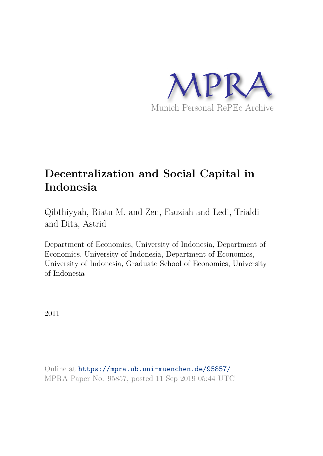

# **Decentralization and Social Capital in Indonesia**

Qibthiyyah, Riatu M. and Zen, Fauziah and Ledi, Trialdi and Dita, Astrid

Department of Economics, University of Indonesia, Department of Economics, University of Indonesia, Department of Economics, University of Indonesia, Graduate School of Economics, University of Indonesia

2011

Online at https://mpra.ub.uni-muenchen.de/95857/ MPRA Paper No. 95857, posted 11 Sep 2019 05:44 UTC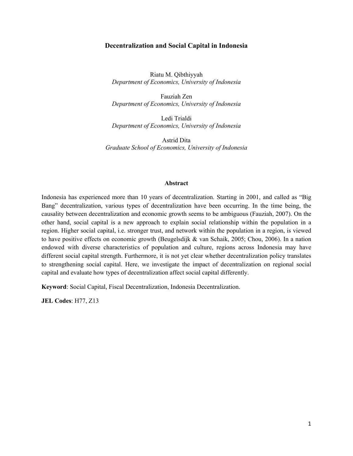#### **Decentralization and Social Capital in Indonesia**

Riatu M. Qibthiyyah *Department of Economics, University of Indonesia* 

Fauziah Zen *Department of Economics, University of Indonesia* 

Ledi Trialdi *Department of Economics, University of Indonesia* 

Astrid Dita *Graduate School of Economics, University of Indonesia* 

#### **Abstract**

Indonesia has experienced more than 10 years of decentralization. Starting in 2001, and called as "Big Bang" decentralization, various types of decentralization have been occurring. In the time being, the causality between decentralization and economic growth seems to be ambiguous (Fauziah, 2007). On the other hand, social capital is a new approach to explain social relationship within the population in a region. Higher social capital, i.e. stronger trust, and network within the population in a region, is viewed to have positive effects on economic growth (Beugelsdijk & van Schaik, 2005; Chou, 2006). In a nation endowed with diverse characteristics of population and culture, regions across Indonesia may have different social capital strength. Furthermore, it is not yet clear whether decentralization policy translates to strengthening social capital. Here, we investigate the impact of decentralization on regional social capital and evaluate how types of decentralization affect social capital differently.

**Keyword**: Social Capital, Fiscal Decentralization, Indonesia Decentralization.

**JEL Codes**: H77, Z13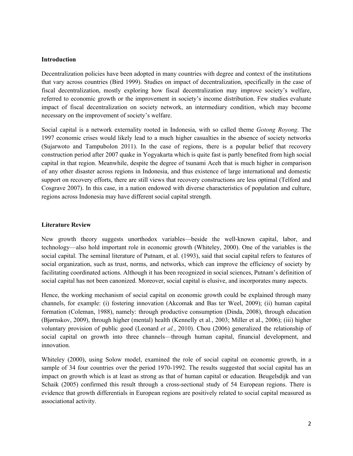#### **Introduction**

Decentralization policies have been adopted in many countries with degree and context of the institutions that vary across countries (Bird 1999). Studies on impact of decentralization, specifically in the case of fiscal decentralization, mostly exploring how fiscal decentralization may improve society's welfare, referred to economic growth or the improvement in society's income distribution. Few studies evaluate impact of fiscal decentralization on society network, an intermediary condition, which may become necessary on the improvement of society's welfare.

Social capital is a network externality rooted in Indonesia, with so called theme *Gotong Royong*. The 1997 economic crises would likely lead to a much higher casualties in the absence of society networks (Sujarwoto and Tampubolon 2011). In the case of regions, there is a popular belief that recovery construction period after 2007 quake in Yogyakarta which is quite fast is partly benefited from high social capital in that region. Meanwhile, despite the degree of tsunami Aceh that is much higher in comparison of any other disaster across regions in Indonesia, and thus existence of large international and domestic support on recovery efforts, there are still views that recovery constructions are less optimal (Telford and Cosgrave 2007). In this case, in a nation endowed with diverse characteristics of population and culture, regions across Indonesia may have different social capital strength.

### **Literature Review**

New growth theory suggests unorthodox variables—beside the well-known capital, labor, and technology—also hold important role in economic growth (Whiteley, 2000). One of the variables is the social capital. The seminal literature of Putnam, et al. (1993), said that social capital refers to features of social organization, such as trust, norms, and networks, which can improve the efficiency of society by facilitating coordinated actions. Although it has been recognized in social sciences, Putnam's definition of social capital has not been canonized. Moreover, social capital is elusive, and incorporates many aspects.

Hence, the working mechanism of social capital on economic growth could be explained through many channels, for example: (i) fostering innovation (Akcomak and Bas ter Weel, 2009); (ii) human capital formation (Coleman, 1988), namely: through productive consumption (Dinda, 2008), through education (Bjørnskov, 2009), through higher (mental) health (Kennelly et al*.*, 2003; Miller et al., 2006); (iii) higher voluntary provision of public good (Leonard *et al.*, 2010). Chou (2006) generalized the relationship of social capital on growth into three channels—through human capital, financial development, and innovation.

Whiteley (2000), using Solow model, examined the role of social capital on economic growth, in a sample of 34 four countries over the period 1970-1992. The results suggested that social capital has an impact on growth which is at least as strong as that of human capital or education. Beugelsdijk and van Schaik (2005) confirmed this result through a cross-sectional study of 54 European regions. There is evidence that growth differentials in European regions are positively related to social capital measured as associational activity.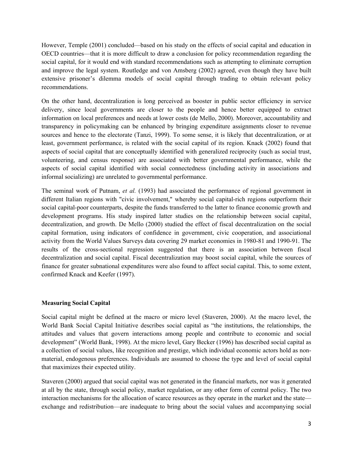However, Temple (2001) concluded—based on his study on the effects of social capital and education in OECD countries—that it is more difficult to draw a conclusion for policy recommendation regarding the social capital, for it would end with standard recommendations such as attempting to eliminate corruption and improve the legal system. Routledge and von Amsberg (2002) agreed, even though they have built extensive prisoner's dilemma models of social capital through trading to obtain relevant policy recommendations.

On the other hand, decentralization is long perceived as booster in public sector efficiency in service delivery, since local governments are closer to the people and hence better equipped to extract information on local preferences and needs at lower costs (de Mello, 2000). Moreover, accountability and transparency in policymaking can be enhanced by bringing expenditure assignments closer to revenue sources and hence to the electorate (Tanzi, 1999). To some sense, it is likely that decentralization, or at least, government performance, is related with the social capital of its region. Knack (2002) found that aspects of social capital that are conceptually identified with generalized reciprocity (such as social trust, volunteering, and census response) are associated with better governmental performance, while the aspects of social capital identified with social connectedness (including activity in associations and informal socializing) are unrelated to governmental performance.

The seminal work of Putnam, *et al.* (1993) had associated the performance of regional government in different Italian regions with "civic involvement," whereby social capital-rich regions outperform their social capital-poor counterparts, despite the funds transferred to the latter to finance economic growth and development programs. His study inspired latter studies on the relationship between social capital, decentralization, and growth. De Mello (2000) studied the effect of fiscal decentralization on the social capital formation, using indicators of confidence in government, civic cooperation, and associational activity from the World Values Surveys data covering 29 market economies in 1980-81 and 1990-91. The results of the cross-sectional regression suggested that there is an association between fiscal decentralization and social capital. Fiscal decentralization may boost social capital, while the sources of finance for greater subnational expenditures were also found to affect social capital. This, to some extent, confirmed Knack and Keefer (1997).

# **Measuring Social Capital**

Social capital might be defined at the macro or micro level (Staveren, 2000). At the macro level, the World Bank Social Capital Initiative describes social capital as "the institutions, the relationships, the attitudes and values that govern interactions among people and contribute to economic and social development" (World Bank, 1998). At the micro level, Gary Becker (1996) has described social capital as a collection of social values, like recognition and prestige, which individual economic actors hold as nonmaterial, endogenous preferences. Individuals are assumed to choose the type and level of social capital that maximizes their expected utility.

Staveren (2000) argued that social capital was not generated in the financial markets, nor was it generated at all by the state, through social policy, market regulation, or any other form of central policy. The two interaction mechanisms for the allocation of scarce resources as they operate in the market and the state exchange and redistribution—are inadequate to bring about the social values and accompanying social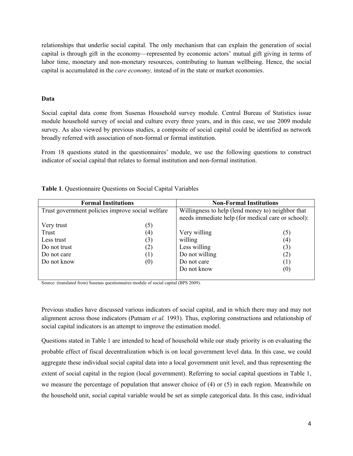relationships that underlie social capital. The only mechanism that can explain the generation of social capital is through gift in the economy—represented by economic actors' mutual gift giving in terms of labor time, monetary and non-monetary resources, contributing to human wellbeing. Hence, the social capital is accumulated in the *care economy,* instead of in the state or market economies.

### **Data**

Social capital data come from Susenas Household survey module. Central Bureau of Statistics issue module household survey of social and culture every three years, and in this case, we use 2009 module survey. As also viewed by previous studies, a composite of social capital could be identified as network broadly referred with association of non-formal or formal institution.

From 18 questions stated in the questionnaires' module, we use the following questions to construct indicator of social capital that relates to formal institution and non-formal institution.

| <b>Formal Institutions</b>                       |     | <b>Non-Formal Institutions</b>                                                                          |                   |  |
|--------------------------------------------------|-----|---------------------------------------------------------------------------------------------------------|-------------------|--|
| Trust government policies improve social welfare |     | Willingness to help (lend money to) neighbor that<br>needs immediate help (for medical care or school): |                   |  |
| Very trust                                       | (5) |                                                                                                         |                   |  |
| Trust                                            | (4) | Very willing                                                                                            | (5)               |  |
| Less trust                                       | (3) | willing                                                                                                 | (4)               |  |
| Do not trust                                     | (2) | Less willing                                                                                            | (3)               |  |
| Do not care                                      | (1) | Do not willing                                                                                          | (2)               |  |
| Do not know                                      | (0) | Do not care                                                                                             | (1)               |  |
|                                                  |     | Do not know                                                                                             | $\left( 0\right)$ |  |

**Table 1**. Questionnaire Questions on Social Capital Variables

Source: (translated from) Susenas questionnaires module of social capital (BPS 2009).

Previous studies have discussed various indicators of social capital, and in which there may and may not alignment across those indicators (Putnam *et al.* 1993). Thus, exploring constructions and relationship of social capital indicators is an attempt to improve the estimation model.

Questions stated in Table 1 are intended to head of household while our study priority is on evaluating the probable effect of fiscal decentralization which is on local government level data. In this case, we could aggregate these individual social capital data into a local government unit level, and thus representing the extent of social capital in the region (local government). Referring to social capital questions in Table 1, we measure the percentage of population that answer choice of (4) or (5) in each region. Meanwhile on the household unit, social capital variable would be set as simple categorical data. In this case, individual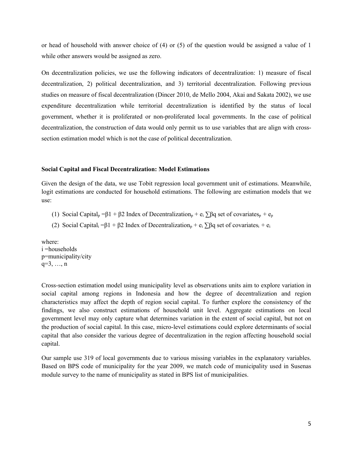or head of household with answer choice of (4) or (5) of the question would be assigned a value of 1 while other answers would be assigned as zero.

On decentralization policies, we use the following indicators of decentralization: 1) measure of fiscal decentralization, 2) political decentralization, and 3) territorial decentralization. Following previous studies on measure of fiscal decentralization (Dincer 2010, de Mello 2004, Akai and Sakata 2002), we use expenditure decentralization while territorial decentralization is identified by the status of local government, whether it is proliferated or non-proliferated local governments. In the case of political decentralization, the construction of data would only permit us to use variables that are align with crosssection estimation model which is not the case of political decentralization.

#### **Social Capital and Fiscal Decentralization: Model Estimations**

Given the design of the data, we use Tobit regression local government unit of estimations. Meanwhile, logit estimations are conducted for household estimations. The following are estimation models that we use:

- (1) Social Capital<sub>p</sub> =β1 + β2 Index of Decentralization<sub>p</sub> + e<sub>i</sub>  $\sum \beta q$  set of covariates<sub>p</sub> + e<sub>p</sub>
- (2) Social Capital<sub>i</sub> = $\beta$ 1 +  $\beta$ 2 Index of Decentralization<sub>p</sub> + e<sub>i</sub>  $\sum \beta q$  set of covariates<sub>i</sub> + e<sub>i</sub>

where: i =households p=municipality/city q=3, …, n

Cross-section estimation model using municipality level as observations units aim to explore variation in social capital among regions in Indonesia and how the degree of decentralization and region characteristics may affect the depth of region social capital. To further explore the consistency of the findings, we also construct estimations of household unit level. Aggregate estimations on local government level may only capture what determines variation in the extent of social capital, but not on the production of social capital. In this case, micro-level estimations could explore determinants of social capital that also consider the various degree of decentralization in the region affecting household social capital.

Our sample use 319 of local governments due to various missing variables in the explanatory variables. Based on BPS code of municipality for the year 2009, we match code of municipality used in Susenas module survey to the name of municipality as stated in BPS list of municipalities.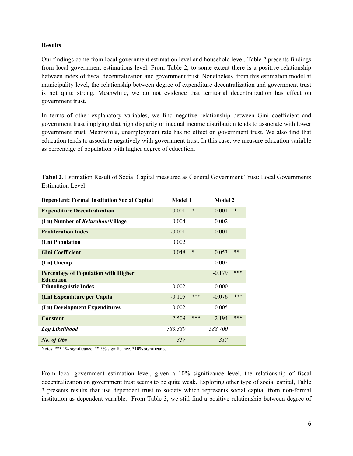# **Results**

Our findings come from local government estimation level and household level. Table 2 presents findings from local government estimations level. From Table 2, to some extent there is a positive relationship between index of fiscal decentralization and government trust. Nonetheless, from this estimation model at municipality level, the relationship between degree of expenditure decentralization and government trust is not quite strong. Meanwhile, we do not evidence that territorial decentralization has effect on government trust.

In terms of other explanatory variables, we find negative relationship between Gini coefficient and government trust implying that high disparity or inequal income distribution tends to associate with lower government trust. Meanwhile, unemployment rate has no effect on government trust. We also find that education tends to associate negatively with government trust. In this case, we measure education variable as percentage of population with higher degree of education.

**Tabel 2**. Estimation Result of Social Capital measured as General Government Trust: Local Governments Estimation Level

| <b>Dependent: Formal Institution Social Capital</b>             | <b>Model 1</b> |        | <b>Model 2</b> |        |
|-----------------------------------------------------------------|----------------|--------|----------------|--------|
| <b>Expenditure Decentralization</b>                             | 0.001          | $\ast$ | 0.001          | $\ast$ |
| (Ln) Number of <i>Kelurahan</i> /Village                        | 0.004          |        | 0.002          |        |
| <b>Proliferation Index</b>                                      | $-0.001$       |        | 0.001          |        |
| (Ln) Population                                                 | 0.002          |        |                |        |
| <b>Gini Coefficient</b>                                         | $-0.048$       | $\ast$ | $-0.053$       | $**$   |
| (Ln) Unemp                                                      |                |        | 0.002          |        |
| <b>Percentage of Population with Higher</b><br><b>Education</b> |                |        | $-0.179$       | ***    |
| <b>Ethnolinguistic Index</b>                                    | $-0.002$       |        | 0.000          |        |
| (Ln) Expenditure per Capita                                     | $-0.105$       | ***    | $-0.076$       | ***    |
| (Ln) Development Expenditures                                   | $-0.002$       |        | $-0.005$       |        |
| <b>Constant</b>                                                 | 2.509          | ***    | 2.194          | ***    |
| <b>Log Likelihood</b>                                           | 583.380        |        | 588.700        |        |
| No. of Obs                                                      | 317            |        | 317            |        |

Notes: \*\*\* 1% significance, \*\* 5% significance, \*10% significance

From local government estimation level, given a 10% significance level, the relationship of fiscal decentralization on government trust seems to be quite weak. Exploring other type of social capital, Table 3 presents results that use dependent trust to society which represents social capital from non-formal institution as dependent variable. From Table 3, we still find a positive relationship between degree of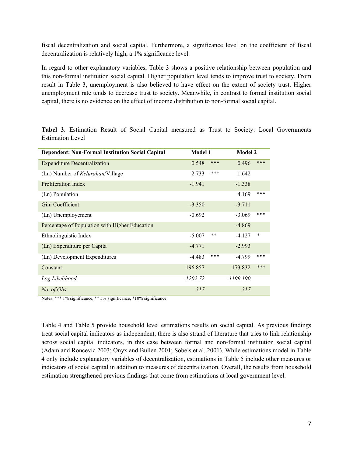fiscal decentralization and social capital. Furthermore, a significance level on the coefficient of fiscal decentralization is relatively high, a 1% significance level.

In regard to other explanatory variables, Table 3 shows a positive relationship between population and this non-formal institution social capital. Higher population level tends to improve trust to society. From result in Table 3, unemployment is also believed to have effect on the extent of society trust. Higher unemployment rate tends to decrease trust to society. Meanwhile, in contrast to formal institution social capital, there is no evidence on the effect of income distribution to non-formal social capital.

| <b>Dependent: Non-Formal Institution Social Capital</b> | <b>Model 1</b> |     | <b>Model 2</b> |        |
|---------------------------------------------------------|----------------|-----|----------------|--------|
| <b>Expenditure Decentralization</b>                     | 0.548          | *** | 0.496          | ***    |
| (Ln) Number of <i>Kelurahan</i> /Village                | 2.733          | *** | 1.642          |        |
| Proliferation Index                                     | $-1.941$       |     | $-1.338$       |        |
| (Ln) Population                                         |                |     | 4.169          | ***    |
| Gini Coefficient                                        | $-3.350$       |     | $-3.711$       |        |
| (Ln) Unemployement                                      | $-0.692$       |     | $-3.069$       | ***    |
| Percentage of Population with Higher Education          |                |     | $-4.869$       |        |
| Ethnolinguistic Index                                   | $-5.007$       | **  | $-4.127$       | $\ast$ |
| (Ln) Expenditure per Capita                             | $-4.771$       |     | $-2.993$       |        |
| (Ln) Development Expenditures                           | $-4.483$       | *** | $-4.799$       | ***    |
| Constant                                                | 196.857        |     | 173.832        | ***    |
| Log Likelihood                                          | $-1202.72$     |     | $-1199.190$    |        |
| No. of Obs                                              | 317            |     | 317            |        |

**Tabel 3**. Estimation Result of Social Capital measured as Trust to Society: Local Governments Estimation Level

Notes: \*\*\* 1% significance, \*\* 5% significance, \*10% significance

Table 4 and Table 5 provide household level estimations results on social capital. As previous findings treat social capital indicators as independent, there is also strand of literature that tries to link relationship across social capital indicators, in this case between formal and non-formal institution social capital (Adam and Roncevic 2003; Onyx and Bullen 2001; Sobels et al. 2001). While estimations model in Table 4 only include explanatory variables of decentralization, estimations in Table 5 include other measures or indicators of social capital in addition to measures of decentralization. Overall, the results from household estimation strengthened previous findings that come from estimations at local government level.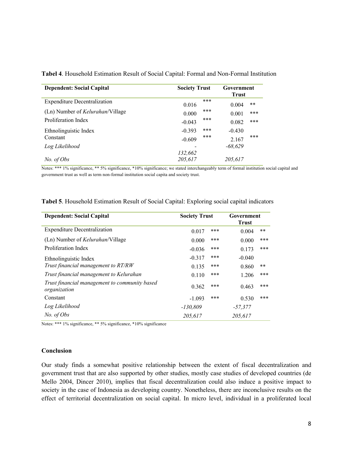| <b>Dependent: Social Capital</b>         | <b>Society Trust</b> | Government<br><b>Trust</b> |  |
|------------------------------------------|----------------------|----------------------------|--|
| <b>Expenditure Decentralization</b>      | ***<br>0.016         | **<br>0.004                |  |
| (Ln) Number of <i>Kelurahan</i> /Village | ***<br>0.000         | ***<br>0.001               |  |
| Proliferation Index                      | ***<br>$-0.043$      | ***<br>0.082               |  |
| Ethnolinguistic Index                    | ***<br>$-0.393$      | $-0.430$                   |  |
| Constant                                 | ***<br>$-0.609$      | ***<br>2.167               |  |
| Log Likelihood                           |                      | $-68.629$                  |  |
|                                          | 132,662              |                            |  |
| No. of Obs                               | 205,617              | 205,617                    |  |

**Tabel 4**. Household Estimation Result of Social Capital: Formal and Non-Formal Institution

Notes: \*\*\* 1% significance, \*\* 5% significance, \*10% significance; we stated interchangeably term of formal institution social capital and government trust as well as term non-formal institution social capita and society trust.

| <b>Dependent: Social Capital</b>                              | <b>Society Trust</b> |     | Government<br><b>Trust</b> |       |
|---------------------------------------------------------------|----------------------|-----|----------------------------|-------|
| <b>Expenditure Decentralization</b>                           | 0.017                | *** | 0.004                      | **    |
| (Ln) Number of <i>Kelurahan</i> /Village                      | 0.000                | *** | 0.000                      | ***   |
| Proliferation Index                                           | $-0.036$             | *** | 0.173                      | ***   |
| Ethnolinguistic Index                                         | $-0.317$             | *** | $-0.040$                   |       |
| Trust financial management to RT/RW                           | 0.135                | *** | 0.860                      | $***$ |
| Trust financial management to Kelurahan                       | 0.110                | *** | 1.206                      | ***   |
| Trust financial management to community based<br>organization | 0.362                | *** | 0.463                      | ***   |
| Constant                                                      | $-1.093$             | *** | 0.530                      | ***   |
| Log Likelihood                                                | $-130,809$           |     | $-57,377$                  |       |
| No. of Obs                                                    | 205.617              |     | 205.617                    |       |

**Tabel 5**. Household Estimation Result of Social Capital: Exploring social capital indicators

Notes: \*\*\* 1% significance, \*\* 5% significance, \*10% significance

#### **Conclusion**

Our study finds a somewhat positive relationship between the extent of fiscal decentralization and government trust that are also supported by other studies, mostly case studies of developed countries (de Mello 2004, Dincer 2010), implies that fiscal decentralization could also induce a positive impact to society in the case of Indonesia as developing country. Nonetheless, there are inconclusive results on the effect of territorial decentralization on social capital. In micro level, individual in a proliferated local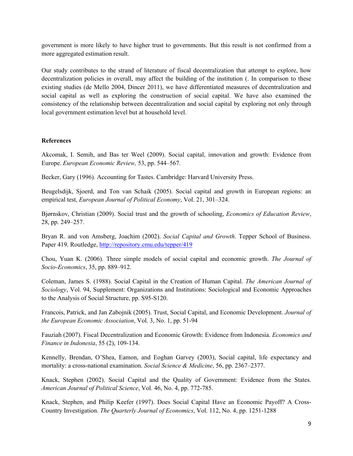government is more likely to have higher trust to governments. But this result is not confirmed from a more aggregated estimation result.

Our study contributes to the strand of literature of fiscal decentralization that attempt to explore, how decentralization policies in overall, may affect the building of the institution (. In comparison to these existing studies (de Mello 2004, Dincer 2011), we have differentiated measures of decentralization and social capital as well as exploring the construction of social capital. We have also examined the consistency of the relationship between decentralization and social capital by exploring not only through local government estimation level but at household level.

# **References**

Akcomak, I. Semih, and Bas ter Weel (2009). Social capital, innovation and growth: Evidence from Europe. *European Economic Review,* 53, pp. 544–567.

Becker, Gary (1996). Accounting for Tastes. Cambridge: Harvard University Press.

Beugelsdijk, Sjoerd, and Ton van Schaik (2005). Social capital and growth in European regions: an empirical test, *European Journal of Political Economy*, Vol. 21, 301–324.

Bjørnskov, Christian (2009). Social trust and the growth of schooling, *Economics of Education Review*, 28, pp. 249–257.

Bryan R. and von Amsberg, Joachim (2002). *Social Capital and Growth*. Tepper School of Business. Paper 419. Routledge, http://repository.cmu.edu/tepper/419

Chou, Yuan K. (2006). Three simple models of social capital and economic growth. *The Journal of Socio-Economics*, 35, pp. 889–912.

Coleman, James S. (1988). Social Capital in the Creation of Human Capital. *The American Journal of Sociology*, Vol. 94, Supplement: Organizations and Institutions: Sociological and Economic Approaches to the Analysis of Social Structure, pp. S95-S120.

Francois, Patrick, and Jan Zabojnik (2005). Trust, Social Capital, and Economic Development. *Journal of the European Economic Association*, Vol. 3, No. 1, pp. 51-94

Fauziah (2007). Fiscal Decentralization and Economic Growth: Evidence from Indonesia. *Economics and Finance in Indonesia*, 55 (2), 109-134.

Kennelly, Brendan, O'Shea, Eamon, and Eoghan Garvey (2003), Social capital, life expectancy and mortality: a cross-national examination. *Social Science & Medicine*, 56, pp. 2367–2377.

Knack, Stephen (2002). Social Capital and the Quality of Government: Evidence from the States. *American Journal of Political Science*, Vol. 46, No. 4, pp. 772-785.

Knack, Stephen, and Philip Keefer (1997). Does Social Capital Have an Economic Payoff? A Cross-Country Investigation. *The Quarterly Journal of Economics*, Vol. 112, No. 4, pp. 1251-1288